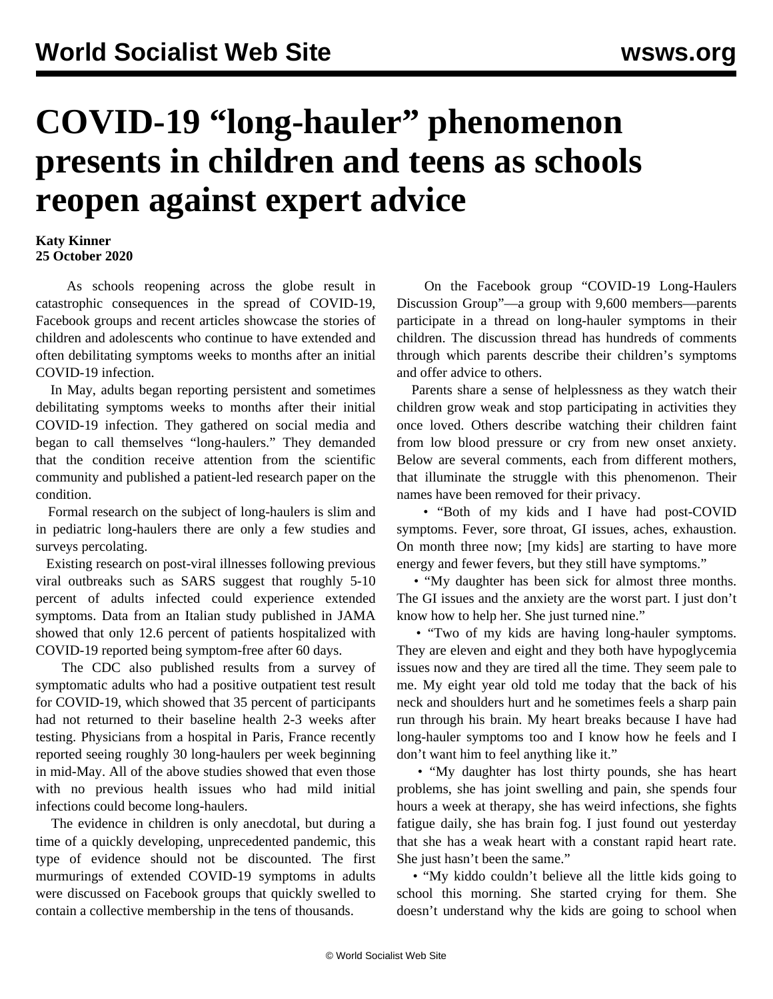## **COVID-19 "long-hauler" phenomenon presents in children and teens as schools reopen against expert advice**

## **Katy Kinner 25 October 2020**

 As schools reopening across the globe result in catastrophic consequences in the spread of COVID-19, Facebook groups and recent articles showcase the stories of children and adolescents who continue to have extended and often debilitating symptoms weeks to months after an initial COVID-19 infection.

 In May, adults began reporting persistent and sometimes debilitating symptoms weeks to months after their initial COVID-19 infection. They gathered on social media and began to call themselves "long-haulers." They demanded that the condition receive attention from the scientific community and [published a patient-led](/en/articles/2020/09/18/long-s18.html) research paper on the condition.

 Formal research on the subject of long-haulers is slim and in pediatric long-haulers there are only a few studies and surveys percolating.

 Existing research on post-viral illnesses following previous viral outbreaks such as SARS suggest that roughly 5-10 percent of adults infected could experience extended symptoms. Data from an Italian study published in JAMA showed that only 12.6 percent of patients hospitalized with COVID-19 reported being symptom-free after 60 days.

 The CDC also published results from a survey of symptomatic adults who had a positive outpatient test result for COVID-19, which showed that 35 percent of participants had not returned to their baseline health 2-3 weeks after testing. Physicians from a hospital in Paris, France recently reported seeing roughly 30 long-haulers per week beginning in mid-May. All of the above studies showed that even those with no previous health issues who had mild initial infections could become long-haulers.

 The evidence in children is only anecdotal, but during a time of a quickly developing, unprecedented pandemic, this type of evidence should not be discounted. The first murmurings of extended COVID-19 symptoms in adults were discussed on Facebook groups that quickly swelled to contain a collective membership in the tens of thousands.

 On the Facebook group "COVID-19 Long-Haulers Discussion Group"—a group with 9,600 members—parents participate in a thread on long-hauler symptoms in their children. The discussion thread has hundreds of comments through which parents describe their children's symptoms and offer advice to others.

 Parents share a sense of helplessness as they watch their children grow weak and stop participating in activities they once loved. Others describe watching their children faint from low blood pressure or cry from new onset anxiety. Below are several comments, each from different mothers, that illuminate the struggle with this phenomenon. Their names have been removed for their privacy.

 • "Both of my kids and I have had post-COVID symptoms. Fever, sore throat, GI issues, aches, exhaustion. On month three now; [my kids] are starting to have more energy and fewer fevers, but they still have symptoms."

 • "My daughter has been sick for almost three months. The GI issues and the anxiety are the worst part. I just don't know how to help her. She just turned nine."

 • "Two of my kids are having long-hauler symptoms. They are eleven and eight and they both have hypoglycemia issues now and they are tired all the time. They seem pale to me. My eight year old told me today that the back of his neck and shoulders hurt and he sometimes feels a sharp pain run through his brain. My heart breaks because I have had long-hauler symptoms too and I know how he feels and I don't want him to feel anything like it."

 • "My daughter has lost thirty pounds, she has heart problems, she has joint swelling and pain, she spends four hours a week at therapy, she has weird infections, she fights fatigue daily, she has brain fog. I just found out yesterday that she has a weak heart with a constant rapid heart rate. She just hasn't been the same."

 • "My kiddo couldn't believe all the little kids going to school this morning. She started crying for them. She doesn't understand why the kids are going to school when